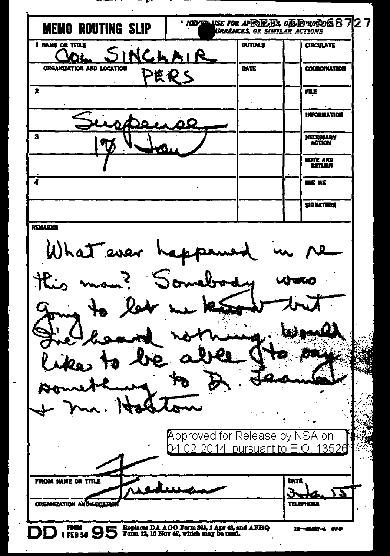| <b>MEMO ROUTING SLIP</b>                                                                      |                                                                                        |                 | $\cdot$ NEVER USE FOR APRIFIED DIE ID ROPUS $87$<br>URRENCES, OR SIMILAR ACTIONS |   |
|-----------------------------------------------------------------------------------------------|----------------------------------------------------------------------------------------|-----------------|----------------------------------------------------------------------------------|---|
| 1 NAME OR TITLE                                                                               | NCLAIR                                                                                 | <b>INITIALS</b> | <b>CIRCULATE</b>                                                                 |   |
| ORGANIZATION AND LOCATION                                                                     | きもと                                                                                    | DATE            | <b>COORDINATION</b>                                                              |   |
| 2                                                                                             |                                                                                        |                 | nu                                                                               |   |
|                                                                                               | òΩ                                                                                     |                 | <b>INFORMATION</b>                                                               |   |
| 2                                                                                             |                                                                                        |                 | NECESSARY<br><b>ACTION</b>                                                       |   |
|                                                                                               |                                                                                        |                 | NOTE AND<br><b>RETURN</b>                                                        |   |
| 4                                                                                             |                                                                                        |                 | <b>SEE ME</b>                                                                    |   |
|                                                                                               |                                                                                        |                 | <b>SIGNATURE</b>                                                                 |   |
| What ever happens<br>man? Someb<br>$\mathcal{R}_{\boldsymbol{\cdot}}$<br>to les<br><b>lie</b> | Approved for Release by NSA on                                                         | $\cdot$ .       |                                                                                  |   |
|                                                                                               | 04-02-2014 pursuant to E.O. 13526                                                      |                 |                                                                                  |   |
| FROM NAME OR TITLE<br>ORGANIZATION AND LOCATIO                                                |                                                                                        |                 | DATE<br>3.<br>77<br><b>TELEPHONE</b>                                             | ċ |
| <b>FORM 95</b>                                                                                | Replaces DA AGO Form 395, 1 Apr 48, and AFHQ<br>Form 12, 10 Nov 47, which may be used. |                 | 10-49487-4 ero                                                                   |   |

 $\ddot{\phantom{0}}$ 

 $\ddot{\phantom{0}}$ 

 $\ddot{\phantom{1}}$ 

 $\hat{\boldsymbol{\beta}}$ 

 $\ddot{\phantom{0}}$ 

ŀ,  $\ddot{\cdot}$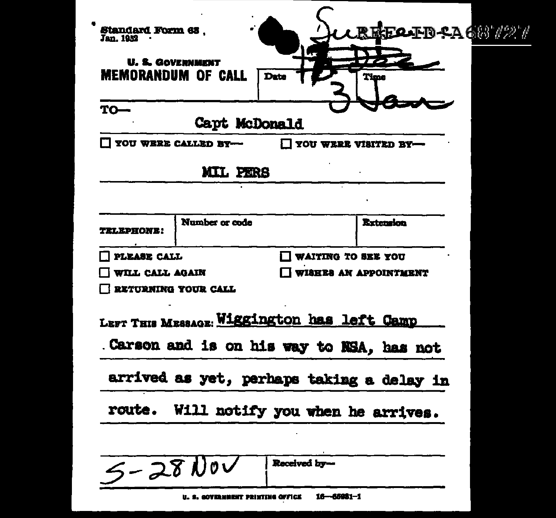| <b>Standard Form 63,</b><br>Jan. 1952 |                                  |                                                                                         | REFOTD & AGO /27                          |  |
|---------------------------------------|----------------------------------|-----------------------------------------------------------------------------------------|-------------------------------------------|--|
| <b>U. S. GOVERNMENT</b>               | <b>MEMORANDUM OF CALL</b>        | Date                                                                                    | Time                                      |  |
| $TO-$                                 | Capt McDonald                    |                                                                                         |                                           |  |
|                                       | YOU WERE CALLED BY-              | YOU WERE VISITED BY-                                                                    |                                           |  |
|                                       | <b>MIL PERS</b>                  |                                                                                         |                                           |  |
|                                       |                                  |                                                                                         |                                           |  |
| <b>RLEPHONE:</b>                      | Number or ende                   |                                                                                         | <b>Extension</b>                          |  |
| PLEASE CALL                           |                                  | <b>WAITING TO SEE YOU</b>                                                               |                                           |  |
| WILL CALL AGAIN                       |                                  |                                                                                         | WISHES AN APPOINTMENT                     |  |
|                                       | <b>RETURNING YOUR CALL</b>       |                                                                                         |                                           |  |
|                                       |                                  | LEFT THIS MESSAGE: Wiggington has left Camp<br>Carson and is on his way to NSA, has not |                                           |  |
|                                       |                                  |                                                                                         | arrived as yet, perhaps taking a delay in |  |
| route.                                |                                  | Will notify you when he arrives.                                                        |                                           |  |
|                                       |                                  |                                                                                         |                                           |  |
| $5 - 28100$                           |                                  | Received by-                                                                            |                                           |  |
|                                       | U. S. GOVERNMENT PRINTING OFFICE | $16 - 65931 - 1$                                                                        |                                           |  |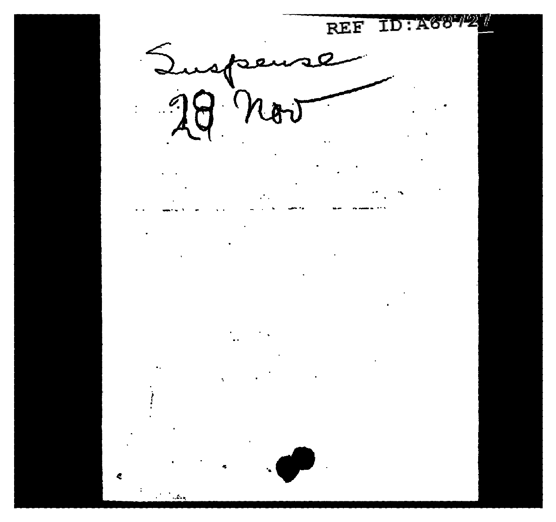**ID: A687** REF  $98$  now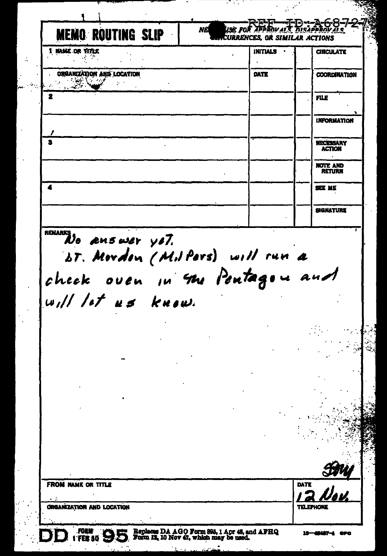use for Approvals NE **MEMO ROUTING SLIP CURRENCES. OR SIMILAR ACTIONS** 1 NAME OR TITLE **INITIALS CIRCULATE**  $\ddot{\phantom{0}}$  $\frac{1}{2}$ **ORGANIZATION AND LOCATION** DATE **COORDINATION**  $\mathbb{R}^N$ ٠,  $\epsilon_{\rm s}$ 2 FILE **INFORMATION**  $\mathbf{a}$ **NECESSARY ACTION NOTE AND**<br>RETURN 4 SEE MK **SIGNATURE** RELLANS DO AMBULET YOT. bt. Mordon (Milpors) will run a check oven in the Pontagon and will let us know. **FROM NAME OR TITLE** DATE ORGANIZATION AND LOCATION **TELEPHONE** Replaces DA AGO Form 895, 1 Apr 48, and AFHQ<br>Form 12, 10 Nov 47, which may be used. FEE 50 9E FORM 16--45487-4 **APO**